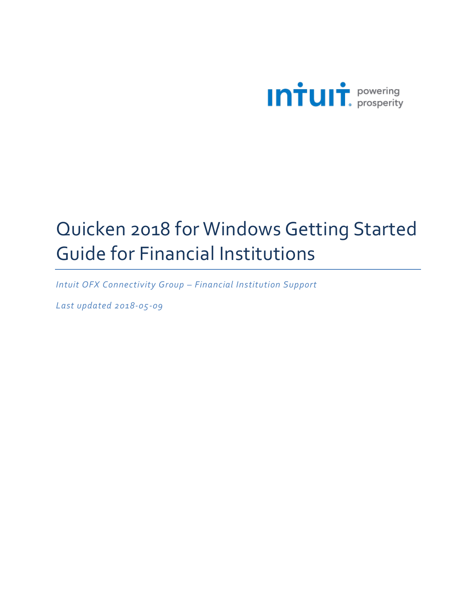

# Quicken 2018 for Windows Getting Started Guide for Financial Institutions

*Intuit OFX Connectivity Group – Financial Institution Support*

*Last updated 2018-05-09*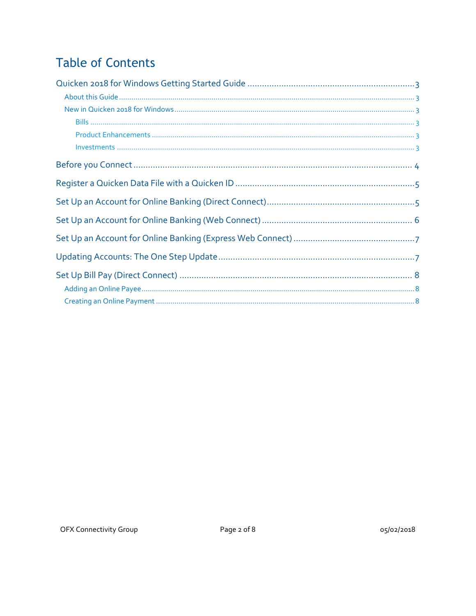# **Table of Contents**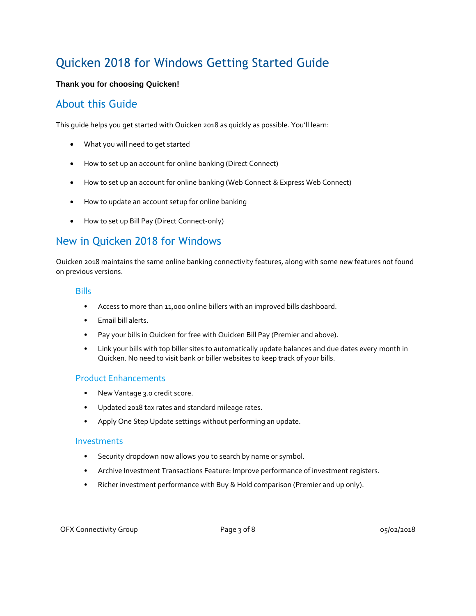## Quicken 2018 for Windows Getting Started Guide

#### **Thank you for choosing Quicken!**

#### About this Guide

This guide helps you get started with Quicken 2018 as quickly as possible. You'll learn:

- What you will need to get started
- How to set up an account for online banking (Direct Connect)
- How to set up an account for online banking (Web Connect & Express Web Connect)
- How to update an account setup for online banking
- How to set up Bill Pay (Direct Connect-only)

#### New in Quicken 2018 for Windows

Quicken 2018 maintains the same online banking connectivity features, along with some new features not found on previous versions.

#### **Bills**

- Access to more than 11,000 online billers with an improved bills dashboard.
- Email bill alerts.
- Pay your bills in Quicken for free with Quicken Bill Pay (Premier and above).
- Link your bills with top biller sites to automatically update balances and due dates every month in Quicken. No need to visit bank or biller websites to keep track of your bills.

#### Product Enhancements

- New Vantage 3.0 credit score.
- Updated 2018 tax rates and standard mileage rates.
- Apply One Step Update settings without performing an update.

#### Investments

- Security dropdown now allows you to search by name or symbol.
- Archive Investment Transactions Feature: Improve performance of investment registers.
- Richer investment performance with Buy & Hold comparison (Premier and up only).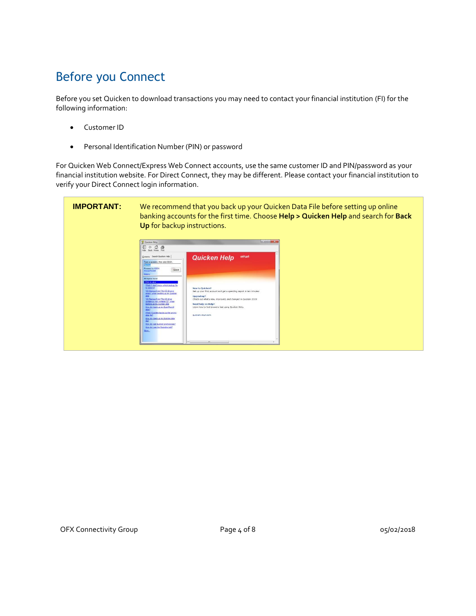# Before you Connect

Before you set Quicken to download transactions you may need to contact your financial institution (FI) for the following information:

- Customer ID
- Personal Identification Number (PIN) or password

For Quicken Web Connect/Express Web Connect accounts, use the same customer ID and PIN/password as your financial institution website. For Direct Connect, they may be different. Please contact your financial institution to verify your Direct Connect login information.

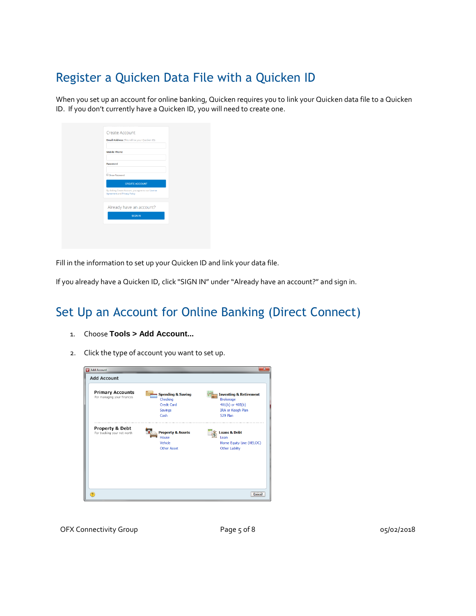### Register a Quicken Data File with a Quicken ID

When you set up an account for online banking, Quicken requires you to link your Quicken data file to a Quicken ID. If you don't currently have a Quicken ID, you will need to create one.

| <b>Create Account</b><br><b>Email Address</b> (This will be your Quicken ID)<br><b>Mobile Phone</b><br>Password<br>Show Password<br><b>CREATE ACCOUNT</b><br>By clicking Create Account, you agree to our License<br>Agreement and Privacy Policy<br>Already have an account?<br><b>SIGN IN</b> |  |
|-------------------------------------------------------------------------------------------------------------------------------------------------------------------------------------------------------------------------------------------------------------------------------------------------|--|
|                                                                                                                                                                                                                                                                                                 |  |
|                                                                                                                                                                                                                                                                                                 |  |
|                                                                                                                                                                                                                                                                                                 |  |
|                                                                                                                                                                                                                                                                                                 |  |
|                                                                                                                                                                                                                                                                                                 |  |
|                                                                                                                                                                                                                                                                                                 |  |
|                                                                                                                                                                                                                                                                                                 |  |
|                                                                                                                                                                                                                                                                                                 |  |
|                                                                                                                                                                                                                                                                                                 |  |
|                                                                                                                                                                                                                                                                                                 |  |
|                                                                                                                                                                                                                                                                                                 |  |
|                                                                                                                                                                                                                                                                                                 |  |
|                                                                                                                                                                                                                                                                                                 |  |
|                                                                                                                                                                                                                                                                                                 |  |

Fill in the information to set up your Quicken ID and link your data file.

If you already have a Quicken ID, click "SIGN IN" under "Already have an account?" and sign in.

### Set Up an Account for Online Banking (Direct Connect)

- 1. Choose **Tools > Add Account...**
- 2. Click the type of account you want to set up.

| <b>Add Account</b>                                    |                                          |                                                       |
|-------------------------------------------------------|------------------------------------------|-------------------------------------------------------|
| <b>Primary Accounts</b><br>For managing your finances | <b>Spending &amp; Saving</b><br>Checking | <b>Investing &amp; Retirement</b><br><b>Brokerage</b> |
|                                                       | Credit Card                              | $401(k)$ or $403(b)$                                  |
|                                                       | Savings                                  | <b>IRA or Keogh Plan</b>                              |
|                                                       | Cash                                     | 529 Plan                                              |
|                                                       | House<br>Vehicle<br>Other Asset          | Loan<br>Home Equity Line (HELOC)<br>Other Liabilty    |
|                                                       |                                          |                                                       |
| $\Omega$                                              |                                          | Cancel                                                |

OFX Connectivity Group **Page 5 of 8** 05/02/2018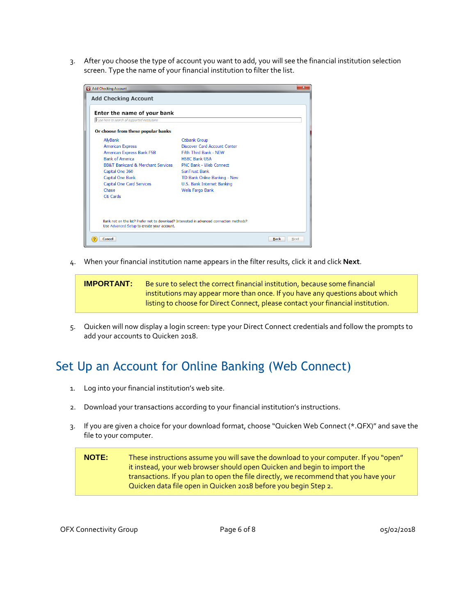3. After you choose the type of account you want to add, you will see the financial institution selection screen. Type the name of your financial institution to filter the list.

| Add Checking Account                                                                                                                                                                                                                                    |                                                                                                                                                                                                                                             | $\mathbf{x}$        |
|---------------------------------------------------------------------------------------------------------------------------------------------------------------------------------------------------------------------------------------------------------|---------------------------------------------------------------------------------------------------------------------------------------------------------------------------------------------------------------------------------------------|---------------------|
| <b>Add Checking Account</b>                                                                                                                                                                                                                             |                                                                                                                                                                                                                                             |                     |
| Enter the name of your bank<br>Type here to search all supported institutions                                                                                                                                                                           |                                                                                                                                                                                                                                             |                     |
| Or choose from these popular banks                                                                                                                                                                                                                      |                                                                                                                                                                                                                                             |                     |
| AllyBank<br><b>American Express</b><br><b>American Express Bank FSB</b><br><b>Bank of America</b><br><b>BB&amp;T Bankcard &amp; Merchant Services</b><br>Capital One 360<br>Capital One Bank<br><b>Capital One Card Services</b><br>Chase<br>Citi Cards | <b>Citibank Group</b><br>Discover Card Account Center<br>Fifth Third Bank - NFW<br><b>HSBC Bank USA</b><br>PNC Bank - Web Connect<br>SunTrust Bank<br>TD Bank Online Banking - New<br>U.S. Bank Internet Banking<br><b>Wells Fargo Bank</b> |                     |
| Bank not on the list? Prefer not to download? Interested in advanced connection methods?<br>Use Advanced Setup to create your account.<br>Cancel                                                                                                        |                                                                                                                                                                                                                                             | <b>Back</b><br>Next |

4. When your financial institution name appears in the filter results, click it and click **Next**.

**IMPORTANT:** Be sure to select the correct financial institution, because some financial institutions may appear more than once. If you have any questions about which listing to choose for Direct Connect, please contact your financial institution.

5. Quicken will now display a login screen: type your Direct Connect credentials and follow the prompts to add your accounts to Quicken 2018.

### Set Up an Account for Online Banking (Web Connect)

- 1. Log into your financial institution's web site.
- 2. Download your transactions according to your financial institution's instructions.
- 3. If you are given a choice for your download format, choose "Quicken Web Connect (\*.QFX)" and save the file to your computer.

**NOTE:** These instructions assume you will save the download to your computer. If you "open" it instead, your web browser should open Quicken and begin to import the transactions. If you plan to open the file directly, we recommend that you have your Quicken data file open in Quicken 2018 before you begin Step 2.

OFX Connectivity Group **Page 6 of 8** 05/02/2018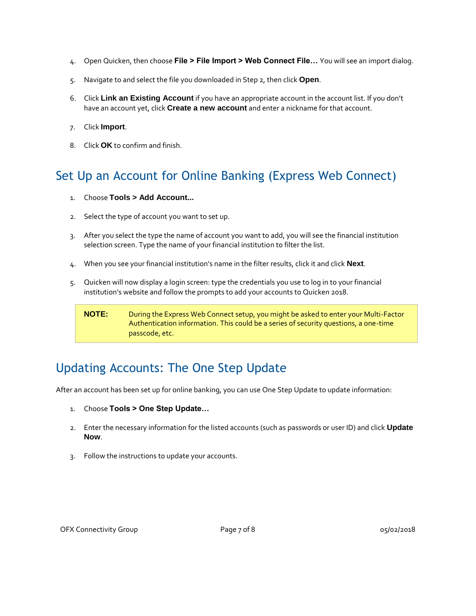- 4. Open Quicken, then choose **File > File Import > Web Connect File…** You will see an import dialog.
- 5. Navigate to and select the file you downloaded in Step 2, then click **Open**.
- 6. Click **Link an Existing Account** if you have an appropriate account in the account list. If you don't have an account yet, click **Create a new account** and enter a nickname for that account.
- 7. Click **Import**.
- 8. Click **OK** to confirm and finish.

### Set Up an Account for Online Banking (Express Web Connect)

- 1. Choose **Tools > Add Account...**
- 2. Select the type of account you want to set up.
- 3. After you select the type the name of account you want to add, you will see the financial institution selection screen. Type the name of your financial institution to filter the list.
- 4. When you see your financial institution's name in the filter results, click it and click **Next**.
- 5. Quicken will now display a login screen: type the credentials you use to log in to your financial institution's website and follow the prompts to add your accounts to Quicken 2018.

#### **NOTE:** During the Express Web Connect setup, you might be asked to enter your Multi-Factor Authentication information. This could be a series of security questions, a one-time passcode, etc.

### Updating Accounts: The One Step Update

After an account has been set up for online banking, you can use One Step Update to update information:

- 1. Choose **Tools > One Step Update…**
- 2. Enter the necessary information for the listed accounts (such as passwords or user ID) and click **Update Now**.
- 3. Follow the instructions to update your accounts.